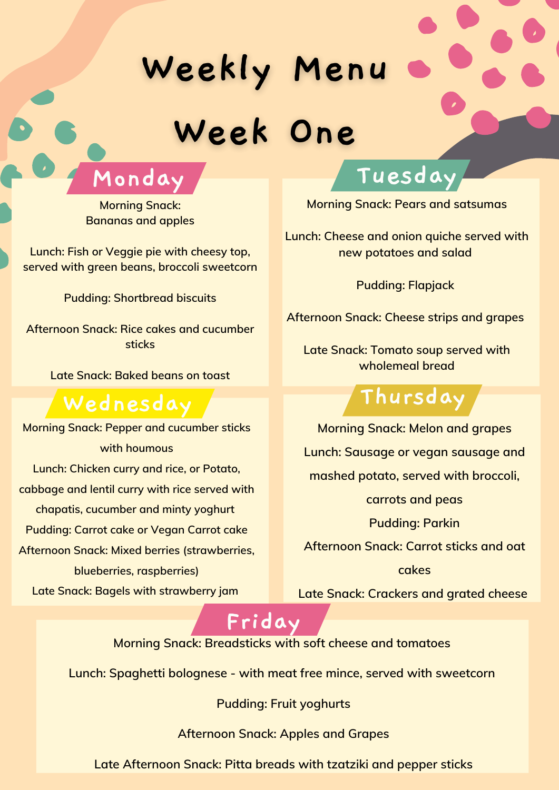## Weekly Menu Week One



### **Wednesday Thursday**



**Morning Snack: Bananas and apples**

**Lunch: Fish or Veggie pie with cheesy top, served with green beans, broccoli sweetcorn**

**Pudding: Shortbread biscuits**

**Afternoon Snack: Rice cakes and cucumber sticks**

**Late Snack: Baked beans on toast**

**Morning Snack: Pears and satsumas**

**Lunch: Cheese and onion quiche served with new potatoes and salad**

**Pudding: Flapjack**

**Afternoon Snack: Cheese strips and grapes**

**Late Snack: Tomato soup served with wholemeal bread**



**Morning Snack: Pepper and cucumber sticks with houmous Lunch: Chicken curry and rice, or Potato, cabbage and lentil curry with rice served with chapatis, cucumber and minty yoghurt Pudding: Carrot cake or Vegan Carrot cake Afternoon Snack: Mixed berries (strawberries, blueberries, raspberries) Late Snack: Bagels with strawberry jam**

**Morning Snack: Melon and grapes Lunch: Sausage or vegan sausage and mashed potato, served with broccoli, carrots and peas Pudding: Parkin Afternoon Snack: Carrot sticks and oat cakes**

**Late Snack: Crackers and grated cheese**

**Morning Snack: Breadsticks with soft cheese and tomatoes**

**Lunch: Spaghetti bolognese - with meat free mince, served with sweetcorn**

**Pudding: Fruit yoghurts**

**Afternoon Snack: Apples and Grapes**

**Late Afternoon Snack: Pitta breads with tzatziki and pepper sticks**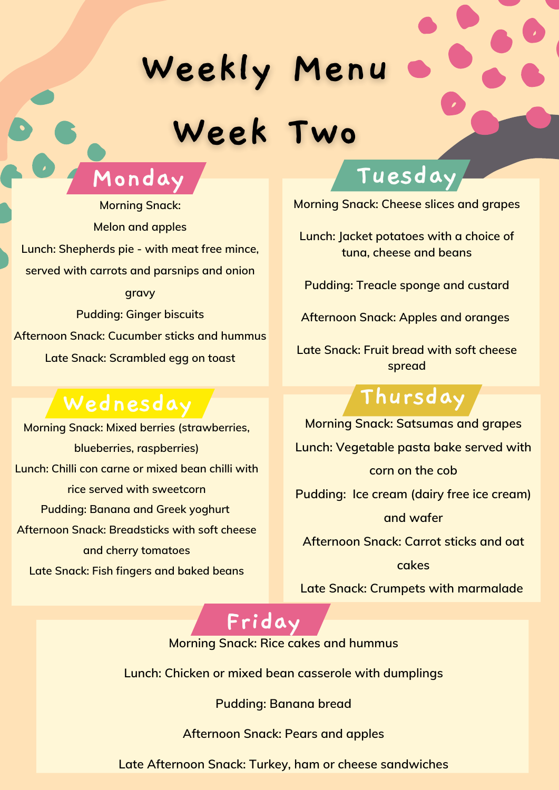### **Wednesday Thursday**



## Weekly Menu Week Two



**Morning Snack: Cheese slices and grapes**

**Lunch: Jacket potatoes with a choice of tuna, cheese and beans**

**Pudding: Treacle sponge and custard**

**Afternoon Snack: Apples and oranges**

**Late Snack: Fruit bread with soft cheese spread**

**Morning Snack: Mixed berries (strawberries, blueberries, raspberries) Lunch: Chilli con carne or mixed bean chilli with rice served with sweetcorn Pudding: Banana and Greek yoghurt Afternoon Snack: Breadsticks with soft cheese and cherry tomatoes Late Snack: Fish fingers and baked beans**

**Morning Snack: Satsumas and grapes Lunch: Vegetable pasta bake served with corn on the cob Pudding: Ice cream (dairy free ice cream) and wafer Afternoon Snack: Carrot sticks and oat cakes**

**Late Snack: Crumpets with marmalade**

**Morning Snack: Rice cakes and hummus**

**Lunch: Chicken or mixed bean casserole with dumplings**

**Pudding: Banana bread**

**Afternoon Snack: Pears and apples**

**Late Afternoon Snack: Turkey, ham or cheese sandwiches**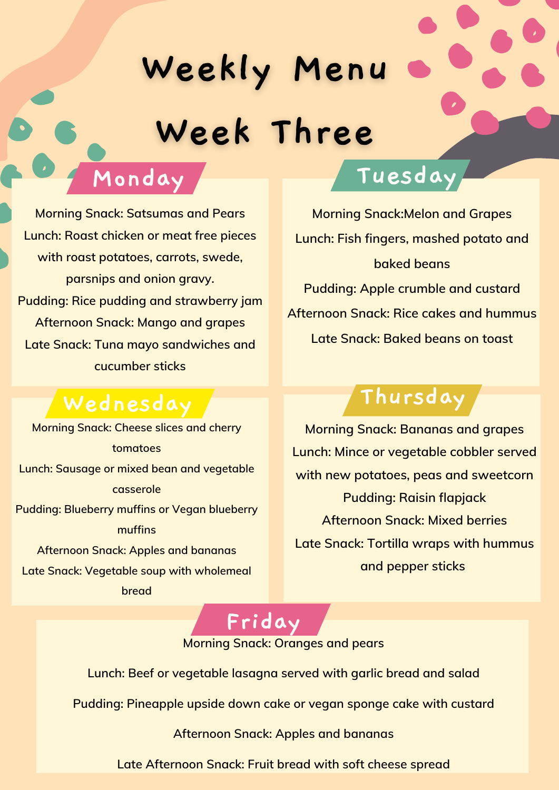### **Monday Tuesday**

### **Wednesday Thursday**

# Weekly Menu Week Three

**Morning Snack: Satsumas and Pears Lunch: Roast chicken or meat free pieces with roast potatoes, carrots, swede, parsnips and onion gravy. Pudding: Rice pudding and strawberry jam Afternoon Snack: Mango and grapes Late Snack: Tuna mayo sandwiches and cucumber sticks**



**Morning Snack: Cheese slices and cherry tomatoes Lunch: Sausage or mixed bean and vegetable casserole Pudding: Blueberry muffins or Vegan blueberry muffins Afternoon Snack: Apples and bananas Late Snack: Vegetable soup with wholemeal bread**

**Morning Snack: Bananas and grapes Lunch: Mince or vegetable cobbler served with new potatoes, peas and sweetcorn Pudding: Raisin flapjack Afternoon Snack: Mixed berries Late Snack: Tortilla wraps with hummus and pepper sticks**

**Lunch: Beef or vegetable lasagna served with garlic bread and salad**

**Pudding: Pineapple upside down cake or vegan sponge cake with custard**

**Afternoon Snack: Apples and bananas**

**Late Afternoon Snack: Fruit bread with soft cheese spread**

**Morning Snack:Melon and Grapes Lunch: Fish fingers, mashed potato and baked beans Pudding: Apple crumble and custard Afternoon Snack: Rice cakes and hummus Late Snack: Baked beans on toast**